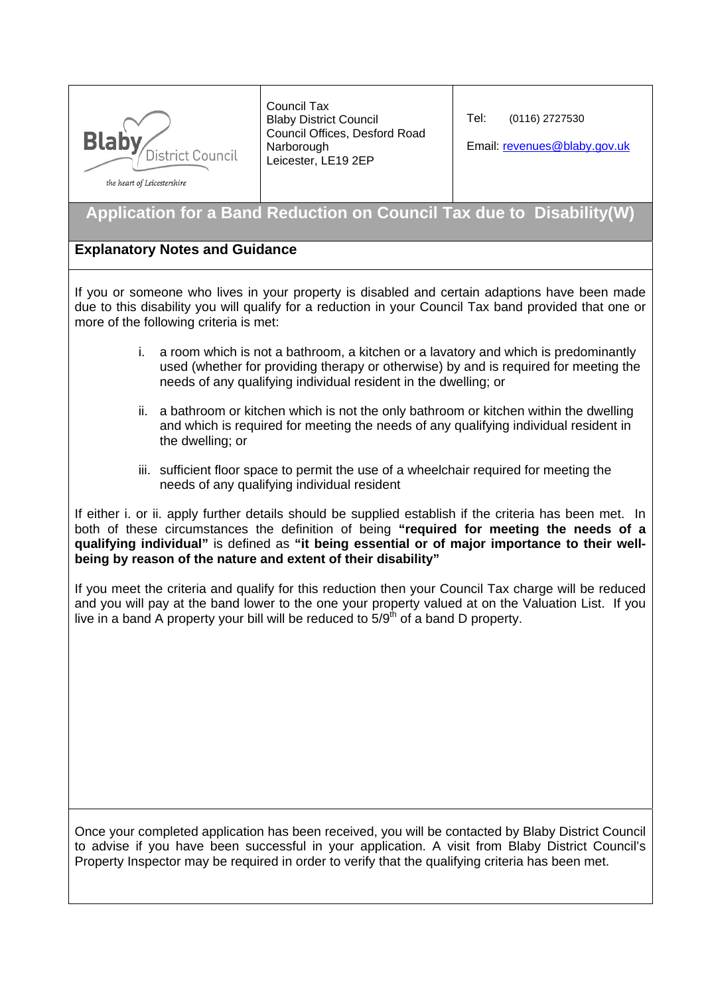

Council Tax Blaby District Council Council Offices, Desford Road **Narborough** Leicester, LE19 2EP

Tel: (0116) 2727530

Email: revenues@blaby.gov.uk

the heart of Leicestershire

## **Application for a Band Reduction on Council Tax due to Disability(W)**

## **Explanatory Notes and Guidance**

If you or someone who lives in your property is disabled and certain adaptions have been made due to this disability you will qualify for a reduction in your Council Tax band provided that one or more of the following criteria is met:

- i. a room which is not a bathroom, a kitchen or a lavatory and which is predominantly used (whether for providing therapy or otherwise) by and is required for meeting the needs of any qualifying individual resident in the dwelling; or
- ii. a bathroom or kitchen which is not the only bathroom or kitchen within the dwelling and which is required for meeting the needs of any qualifying individual resident in the dwelling; or
- iii. sufficient floor space to permit the use of a wheelchair required for meeting the needs of any qualifying individual resident

If either i. or ii. apply further details should be supplied establish if the criteria has been met. In both of these circumstances the definition of being **"required for meeting the needs of a qualifying individual"** is defined as **"it being essential or of major importance to their wellbeing by reason of the nature and extent of their disability"** 

If you meet the criteria and qualify for this reduction then your Council Tax charge will be reduced and you will pay at the band lower to the one your property valued at on the Valuation List. If you live in a band A property your bill will be reduced to  $5/9<sup>th</sup>$  of a band D property.

Once your completed application has been received, you will be contacted by Blaby District Council to advise if you have been successful in your application. A visit from Blaby District Council's Property Inspector may be required in order to verify that the qualifying criteria has been met.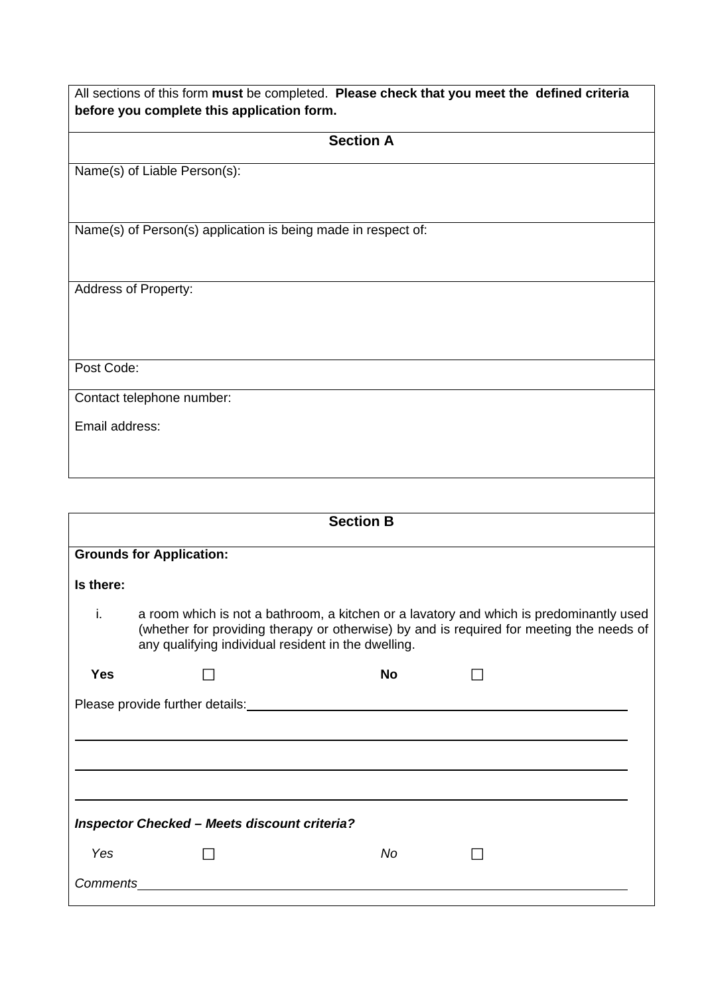| All sections of this form must be completed. Please check that you meet the defined criteria<br>before you complete this application form.                                                                                                       |  |  |  |
|--------------------------------------------------------------------------------------------------------------------------------------------------------------------------------------------------------------------------------------------------|--|--|--|
| <b>Section A</b>                                                                                                                                                                                                                                 |  |  |  |
| Name(s) of Liable Person(s):                                                                                                                                                                                                                     |  |  |  |
| Name(s) of Person(s) application is being made in respect of:                                                                                                                                                                                    |  |  |  |
| <b>Address of Property:</b>                                                                                                                                                                                                                      |  |  |  |
| Post Code:                                                                                                                                                                                                                                       |  |  |  |
| Contact telephone number:                                                                                                                                                                                                                        |  |  |  |
| Email address:                                                                                                                                                                                                                                   |  |  |  |
|                                                                                                                                                                                                                                                  |  |  |  |
| <b>Section B</b>                                                                                                                                                                                                                                 |  |  |  |
| <b>Grounds for Application:</b>                                                                                                                                                                                                                  |  |  |  |
| Is there:                                                                                                                                                                                                                                        |  |  |  |
| a room which is not a bathroom, a kitchen or a lavatory and which is predominantly used<br>Ι.<br>(whether for providing therapy or otherwise) by and is required for meeting the needs of<br>any qualifying individual resident in the dwelling. |  |  |  |
| No<br><b>Yes</b>                                                                                                                                                                                                                                 |  |  |  |
|                                                                                                                                                                                                                                                  |  |  |  |
|                                                                                                                                                                                                                                                  |  |  |  |
|                                                                                                                                                                                                                                                  |  |  |  |
|                                                                                                                                                                                                                                                  |  |  |  |
| <b>Inspector Checked - Meets discount criteria?</b>                                                                                                                                                                                              |  |  |  |
| Yes<br>No                                                                                                                                                                                                                                        |  |  |  |
|                                                                                                                                                                                                                                                  |  |  |  |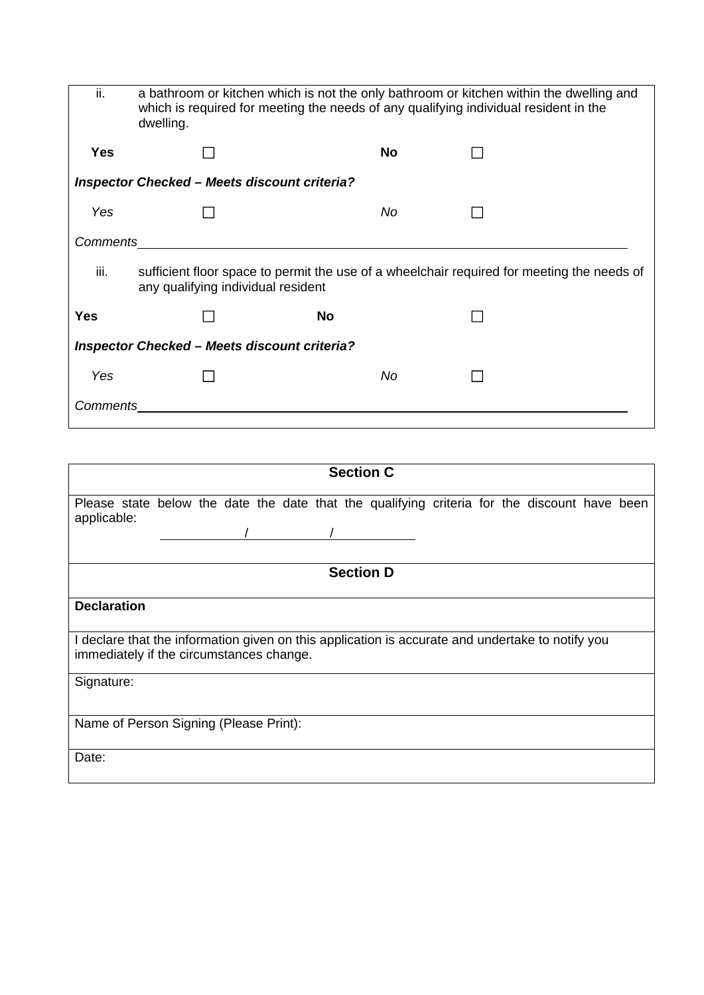| ii.                                                 | a bathroom or kitchen which is not the only bathroom or kitchen within the dwelling and<br>which is required for meeting the needs of any qualifying individual resident in the<br>dwelling. |           |  |  |  |
|-----------------------------------------------------|----------------------------------------------------------------------------------------------------------------------------------------------------------------------------------------------|-----------|--|--|--|
| <b>Yes</b>                                          |                                                                                                                                                                                              | No        |  |  |  |
| <b>Inspector Checked – Meets discount criteria?</b> |                                                                                                                                                                                              |           |  |  |  |
| Yes                                                 |                                                                                                                                                                                              | No        |  |  |  |
| <b>Comments</b>                                     |                                                                                                                                                                                              |           |  |  |  |
| iii.                                                | sufficient floor space to permit the use of a wheelchair required for meeting the needs of<br>any qualifying individual resident                                                             |           |  |  |  |
| <b>Yes</b>                                          |                                                                                                                                                                                              | <b>No</b> |  |  |  |
| <b>Inspector Checked – Meets discount criteria?</b> |                                                                                                                                                                                              |           |  |  |  |
| Yes                                                 |                                                                                                                                                                                              | No        |  |  |  |
| Comments                                            |                                                                                                                                                                                              |           |  |  |  |

| <b>Section C</b>                                                                                                                                                                 |  |  |  |  |
|----------------------------------------------------------------------------------------------------------------------------------------------------------------------------------|--|--|--|--|
| Please state below the date the date that the qualifying criteria for the discount have been<br>applicable:                                                                      |  |  |  |  |
| <b>Section D</b>                                                                                                                                                                 |  |  |  |  |
| <b>Declaration</b><br>I declare that the information given on this application is accurate and undertake to notify you<br>immediately if the circumstances change.<br>Signature: |  |  |  |  |
| Name of Person Signing (Please Print):                                                                                                                                           |  |  |  |  |
| Date:                                                                                                                                                                            |  |  |  |  |